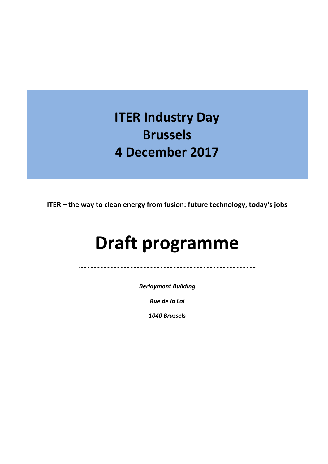# **ITER Industry Day Brussels 4 December 2017**

**ITER – the way to clean energy from fusion: future technology, today's jobs**

# **Draft programme**

*Berlaymont Building* 

. . . . . . . . . . . . . . . . . .

*Rue de la Loi* 

*1040 Brussels*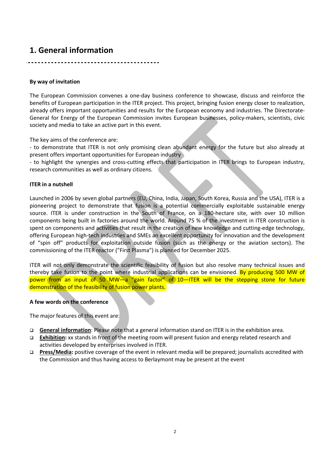### **1. General information**

#### **By way of invitation**

The European Commission convenes a one-day business conference to showcase, discuss and reinforce the benefits of European participation in the ITER project. This project, bringing fusion energy closer to realization, already offers important opportunities and results for the European economy and industries. The Directorate-General for Energy of the European Commission invites European businesses, policy-makers, scientists, civic society and media to take an active part in this event.

The key aims of the conference are:

- to demonstrate that ITER is not only promising clean abundant energy for the future but also already at present offers important opportunities for European industry

- to highlight the synergies and cross-cutting effects that participation in ITER brings to European industry, research communities as well as ordinary citizens.

#### **ITER in a nutshell**

Launched in 2006 by seven global partners (EU, China, India, Japan, South Korea, Russia and the USA), ITER is a pioneering project to demonstrate that fusion is a potential commercially exploitable sustainable energy source. ITER is under construction in the South of France, on a 180-hectare site, with over 10 million components being built in factories around the world. Around 75 % of the investment in ITER construction is spent on components and activities that result in the creation of new knowledge and cutting-edge technology, offering European high-tech industries and SMEs an excellent opportunity for innovation and the development of "spin off" products for exploitation outside fusion (such as the energy or the aviation sectors). The commissioning of the ITER reactor ("First Plasma") is planned for December 2025.

ITER will not only demonstrate the scientific feasibility of fusion but also resolve many technical issues and thereby take fusion to the point where industrial applications can be envisioned. By producing 500 MW of power from an input of 50 MW—a "gain factor" of 10—ITER will be the stepping stone for future demonstration of the feasibility of fusion power plants.

#### **A few words on the conference**

The major features of this event are:

- **General information**: Please note that a general information stand on ITER is in the exhibition area.
- **Exhibition:** xx stands in front of the meeting room will present fusion and energy related research and activities developed by enterprises involved in ITER.
- **Press/Media:** positive coverage of the event in relevant media will be prepared; journalists accredited with the Commission and thus having access to Berlaymont may be present at the event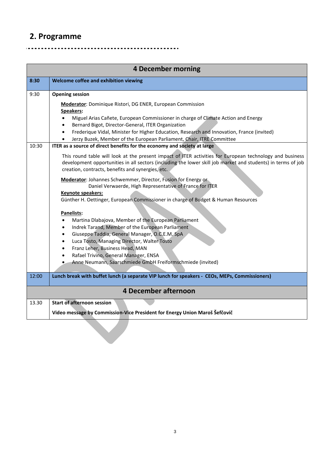## **2. Programme**

<u>. . . . . . .</u>

.......................

. **. . . . . . .** 

| <b>4 December morning</b> |                                                                                                                                                                                                                                                                                                                                                                                                                                                                                                                                                                                                                                                                                                                                                                                                                                                                                                                                                                                                                                                                                                                                                                                                                                                                                          |  |
|---------------------------|------------------------------------------------------------------------------------------------------------------------------------------------------------------------------------------------------------------------------------------------------------------------------------------------------------------------------------------------------------------------------------------------------------------------------------------------------------------------------------------------------------------------------------------------------------------------------------------------------------------------------------------------------------------------------------------------------------------------------------------------------------------------------------------------------------------------------------------------------------------------------------------------------------------------------------------------------------------------------------------------------------------------------------------------------------------------------------------------------------------------------------------------------------------------------------------------------------------------------------------------------------------------------------------|--|
| 8:30                      | Welcome coffee and exhibition viewing                                                                                                                                                                                                                                                                                                                                                                                                                                                                                                                                                                                                                                                                                                                                                                                                                                                                                                                                                                                                                                                                                                                                                                                                                                                    |  |
| 9:30<br>10:30             | <b>Opening session</b><br><b>Moderator:</b> Dominique Ristori, DG ENER, European Commission<br>Speakers:<br>Miguel Arias Cañete, European Commissioner in charge of Climate Action and Energy<br>$\bullet$<br>Bernard Bigot, Director-General, ITER Organization<br>$\bullet$<br>Frederique Vidal, Minister for Higher Education, Research and Innovation, France (invited)<br>$\bullet$<br>Jerzy Buzek, Member of the European Parliament, Chair, ITRE Committee<br>ITER as a source of direct benefits for the economy and society at large<br>This round table will look at the present impact of ITER activities for European technology and business<br>development opportunities in all sectors (including the lower skill job market and students) in terms of job<br>creation, contracts, benefits and synergies, etc.<br>Moderator: Johannes Schwemmer, Director, Fusion for Energy or<br>Daniel Verwaerde, High Representative of France for ITER<br>Keynote speakers:<br>Günther H. Oettinger, European Commissioner in charge of Budget & Human Resources<br>Panelists:<br>Martina Dlabajova, Member of the European Parliament<br>$\bullet$<br>Indrek Tarand, Member of the European Parliament<br>$\bullet$<br>Giuseppe Taddia, General Manager, O.C.E.M. SpA<br>$\bullet$ |  |
|                           | Luca Tosto, Managing Director, Walter Tosto<br>$\bullet$<br>Franz Leher, Business Head, MAN<br>$\bullet$<br>Rafael Trivino, General Manager, ENSA<br>$\bullet$<br>Anne Neumann, Saarschmiede GmbH Freiformschmiede (invited)                                                                                                                                                                                                                                                                                                                                                                                                                                                                                                                                                                                                                                                                                                                                                                                                                                                                                                                                                                                                                                                             |  |
| 12:00                     | Lunch break with buffet lunch (a separate VIP lunch for speakers - CEOs, MEPs, Commissioners)                                                                                                                                                                                                                                                                                                                                                                                                                                                                                                                                                                                                                                                                                                                                                                                                                                                                                                                                                                                                                                                                                                                                                                                            |  |
|                           | <b>4 December afternoon</b>                                                                                                                                                                                                                                                                                                                                                                                                                                                                                                                                                                                                                                                                                                                                                                                                                                                                                                                                                                                                                                                                                                                                                                                                                                                              |  |
| 13.30                     | <b>Start of afternoon session</b><br>Video message by Commission-Vice President for Energy Union Maroš Šefčovič                                                                                                                                                                                                                                                                                                                                                                                                                                                                                                                                                                                                                                                                                                                                                                                                                                                                                                                                                                                                                                                                                                                                                                          |  |
|                           |                                                                                                                                                                                                                                                                                                                                                                                                                                                                                                                                                                                                                                                                                                                                                                                                                                                                                                                                                                                                                                                                                                                                                                                                                                                                                          |  |

. . . . .